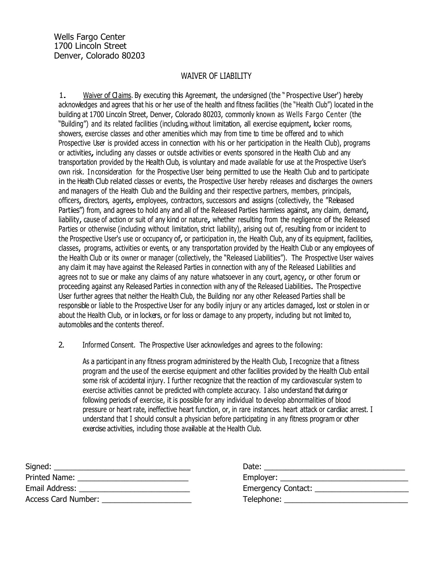### WAIVER OF LIABILITY

1. Waiver of Cl aims. By executing this Agreement, the undersigned (the " Prospective User') hereby acknowledges and agrees that his or her use of the health and fitness facilities (the "Health Club") located in the building at 1700 Lincoln Street, Denver, Colorado 80203, commonly known as Wells Fargo Center (the "Building") and its related facilities (including, without limitation, all exercise equipment, locker rooms, showers, exercise classes and other amenities which may from time to time be offered and to which Prospective User is provided access in connection with his or her participation in the Health Club), programs or activities, including any classes or outside activities or events sponsored in the Health Club and any transportation provided by the Health Club, is voluntary and made available for use at the Prospective User's own risk. I n consideration for the Prospective User being permitted to use the Health Club and to participate in the Health Club related classes or events, the Prospective User hereby releases and discharges the owners and managers of the Health Club and the Building and their respective partners, members, principals, officers, directors, agents, employees, contractors, successors and assigns (collectively, the "Released Parties") from, and agrees to hold any and all of the Released Parties harmless against, any claim, demand, liability, cause of action or suit of any kind or nature, whether resulting from the negligence of the Released Parties or otherwise (including without limitation, strict liability), arising out of, resulting from or incident to the Prospective User's use or occupancy of, or participation in, the Health Club, any of its equipment, facilities, classes, programs, activities or events, or any transportation provided by the Health Club or any employees of the Health Club or its owner or manager (collectively, the "Released Liabilities"). The Prospective User waives any claim it may have against the Released Parties in connection with any of the Released Liabilities and agrees not to sue or make any claims of any nature whatsoever in any court, agency, or other forum or proceeding against any Released Parties in connection with any of the Released Liabilities. The Prospective User further agrees that neither the Health Club, the Building nor any other Released Parties shall be responsible or liable to the Prospective User for any bodily injury or any articles damaged, lost or stolen in or about the Health Club, or in lockers, or for loss or damage to any property, including but not limited to, automobiles and the contents thereof.

2. Informed Consent. The Prospective User acknowledges and agrees to the following:

As a participant in any fitness program administered by the Health Club, I recognize that a fitness program and the use of the exercise equipment and other facilities provided by the Health Club entail some risk of accidental injury. I further recognize that the reaction of my cardiovascular system to exercise activities cannot be predicted with complete accuracy. I also understand that during or following periods of exercise, it is possible for any individual to develop abnormalities of blood pressure or heart rate, ineffective heart function, or, in rare instances. heart attack or cardiac arrest. I understand that I should consult a physician before participating in any fitness program or other exercise activities, including those available at the Health Club.

| Signed:             | Date:                     |
|---------------------|---------------------------|
| Printed Name:       |                           |
| Email Address:      | <b>Emergency Contact:</b> |
| Access Card Number: | Telephone:                |